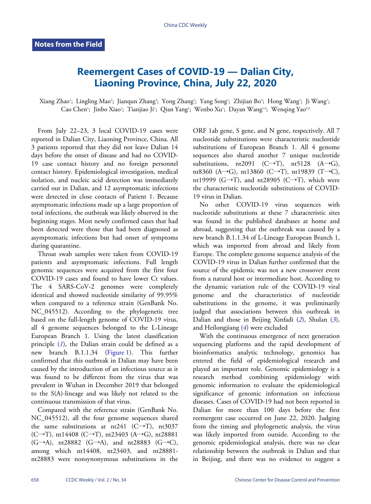## **Reemergent Cases of COVID-19 — Dalian City, Liaoning Province, China, July 22, 2020**

Xiang Zhao'; Lingling Mao'; Jianqun Zhang'; Yong Zhang'; Yang Song'; Zhijian Bo'; Hong Wang'; Ji Wang'; Cao Chen'; Jinbo Xiao'; Tianjiao Ji'; Qian Yang'; Wenbo Xu'; Dayan Wang'<sub>'</sub>\*; Wenqing Yao<sup>2,</sup>\*

From July 22-23, 3 local COVID-19 cases were reported in Dalian City, Liaoning Province, China. All 3 patients reported that they did not leave Dalian 14 days before the onset of disease and had no COVID-19 case contact history and no foreign personnel contact history. Epidemiological investigation, medical isolation, and nucleic acid detection was immediately carried out in Dalian, and 12 asymptomatic infections were detected in close contacts of Patient 1. Because asymptomatic infections made up a large proportion of total infections, the outbreak was likely observed in the beginning stages. Most newly confirmed cases that had been detected were those that had been diagnosed as asymptomatic infections but had onset of symptoms during quarantine.

Throat swab samples were taken from COVID-19 patients and asymptomatic infections. Full length genomic sequences were acquired from the first four COVID-19 cases and found to have lower Ct values. The 4 SARS-CoV-2 genomes were completely identical and showed nucleotide similarity of 99.95% when compared to a reference strain (GenBank No. NC\_045512). According to the phylogenetic tree based on the full-length genome of COVID-19 virus, all 4 genome sequences belonged to the L-Lineage European Branch 1. Using the latest classification principle  $(1)$  $(1)$  $(1)$ , the Dalian strain could be defined as a new branch B.1.1.34 ([Figure 1](#page-1-0)). This further confirmed that this outbreak in Dalian may have been caused by the introduction of an infectious source as it was found to be different from the virus that was prevalent in Wuhan in December 2019 that belonged to the S(A)-lineage and was likely not related to the continuous transmission of that virus.

Compared with the reference strain (GenBank No. NC\_045512), all the four genome sequences shared the same substitutions at  $nt241$  (C→T),  $nt3037$  $(C→T)$ , nt14408  $(C→T)$ , nt23403  $(A→G)$ , nt28881  $(G\rightarrow A)$ , nt28882  $(G\rightarrow A)$ , and nt28883  $(G\rightarrow C)$ , among which nt14408, nt23403, and nt28881 nt28883 were nonsynonymous substitutions in the ORF 1ab gene, S gene, and N gene, respectively. All 7 nucleotide substitutions were characteristic nucleotide substitutions of European Branch 1. All 4 genome sequences also shared another 7 unique nucleotide substitutions,  $nt2091$  (C→T),  $nt5128$  (A→G), nt8360 (A→G), nt13860 (C→T), nt19839 (T→C), nt19999 (G→T), and nt28905 (C→T), which were the characteristic nucleotide substitutions of COVID-19 virus in Dalian.

No other COVID-19 virus sequences with nucleotide substitutions at these 7 characteristic sites was found in the published databases at home and abroad, suggesting that the outbreak was caused by a new branch B.1.1.34 of L-Lineage European Branch 1, which was imported from abroad and likely from Europe. The complete genome sequence analysis of the COVID-19 virus in Dalian further confirmed that the source of the epidemic was not a new crossover event from a natural host or intermediate host. According to the dynamic variation rule of the COVID-19 viral genome and the characteristics of nucleotide substitutions in the genome, it was preliminarily judged that associations between this outbreak in Dalian and those in Beijing Xinfadi (*[2](#page-2-1)*), Shulan (*[3](#page-2-2)*), and Heilongjiang (*[4](#page-2-3)*) were excluded

With the continuous emergence of next generation sequencing platforms and the rapid development of bioinformatics analytic technology, genomics has entered the field of epidemiological research and played an important role. Genomic epidemiology is a research method combining epidemiology with genomic information to evaluate the epidemiological significance of genomic information on infectious diseases. Cases of COVID-19 had not been reported in Dalian for more than 100 days before the first reemergent case occurred on June 22, 2020. Judging from the timing and phylogenetic analysis, the virus was likely imported from outside. According to the genomic epidemiological analysis, there was no clear relationship between the outbreak in Dalian and that in Beijing, and there was no evidence to suggest a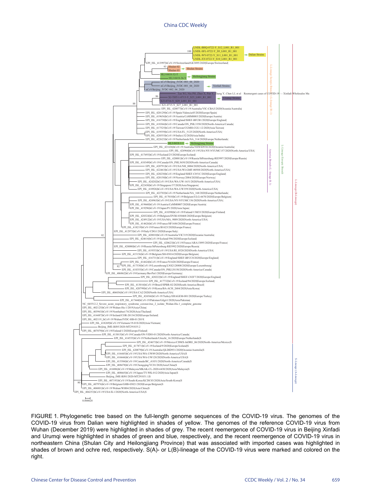## China CDC Weekly

<span id="page-1-0"></span>

FIGURE 1. Phylogenetic tree based on the full-length genome sequences of the COVID-19 virus. The genomes of the COVID-19 virus from Dalian were highlighted in shades of yellow. The genomes of the reference COVID-19 virus from Wuhan (December 2019) were highlighted in shades of grey. The recent reemergence of COVID-19 virus in Beijing Xinfadi and Urumqi were highlighted in shades of green and blue, respectively, and the recent reemergence of COVID-19 virus in northeastern China (Shulan City and Heilongjiang Province) that was associated with imported cases was highlighted in shades of brown and ochre red, respectively. S(A)- or L(B)-lineage of the COVID-19 virus were marked and colored on the right.